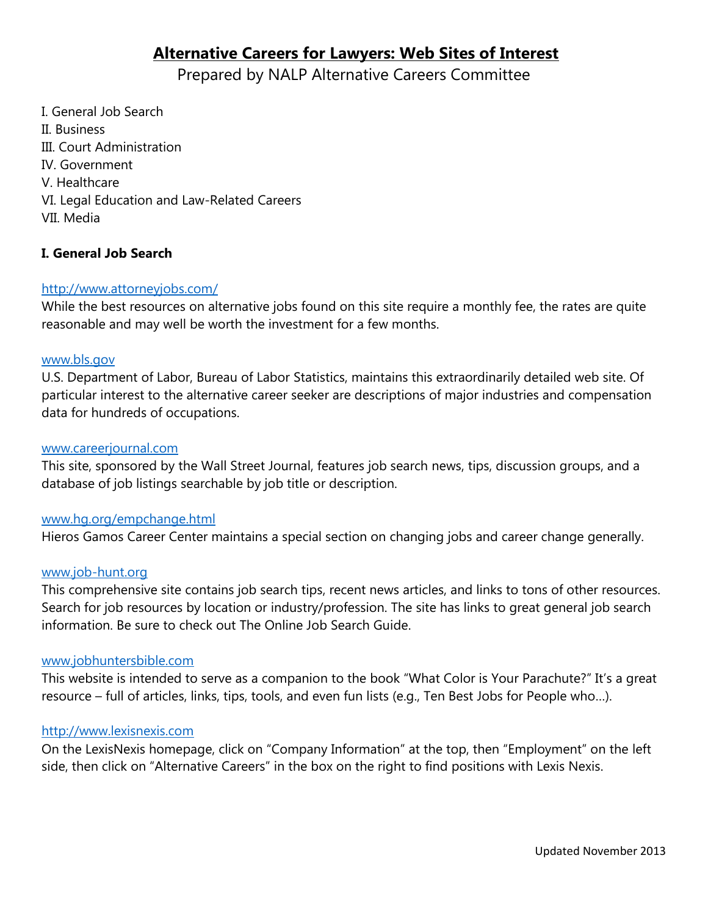# **Alternative Careers for Lawyers: Web Sites of Interest**

Prepared by NALP Alternative Careers Committee

I. General Job Search II. Business III. Court Administration IV. Government V. Healthcare VI. Legal Education and Law-Related Careers VII. Media

## **I. General Job Search**

## <http://www.attorneyjobs.com/>

While the best resources on alternative jobs found on this site require a monthly fee, the rates are quite reasonable and may well be worth the investment for a few months.

#### [www.bls.gov](http://www.bls.gov/)

U.S. Department of Labor, Bureau of Labor Statistics, maintains this extraordinarily detailed web site. Of particular interest to the alternative career seeker are descriptions of major industries and compensation data for hundreds of occupations.

## [www.careerjournal.com](http://www.careerjournal.com/)

This site, sponsored by the Wall Street Journal, features job search news, tips, discussion groups, and a database of job listings searchable by job title or description.

## [www.hg.org/empchange.html](http://www.hg.org/empchange.html)

Hieros Gamos Career Center maintains a special section on changing jobs and career change generally.

#### [www.job-hunt.org](http://www.job-hunt.org/)

This comprehensive site contains job search tips, recent news articles, and links to tons of other resources. Search for job resources by location or industry/profession. The site has links to great general job search information. Be sure to check out The Online Job Search Guide.

#### [www.jobhuntersbible.com](http://www.jobhuntersbible.com/)

This website is intended to serve as a companion to the book "What Color is Your Parachute?" It's a great resource – full of articles, links, tips, tools, and even fun lists (e.g., Ten Best Jobs for People who…).

## [http://www.lexisnexis.com](http://www.lexisnexis.com/)

On the LexisNexis homepage, click on "Company Information" at the top, then "Employment" on the left side, then click on "Alternative Careers" in the box on the right to find positions with Lexis Nexis.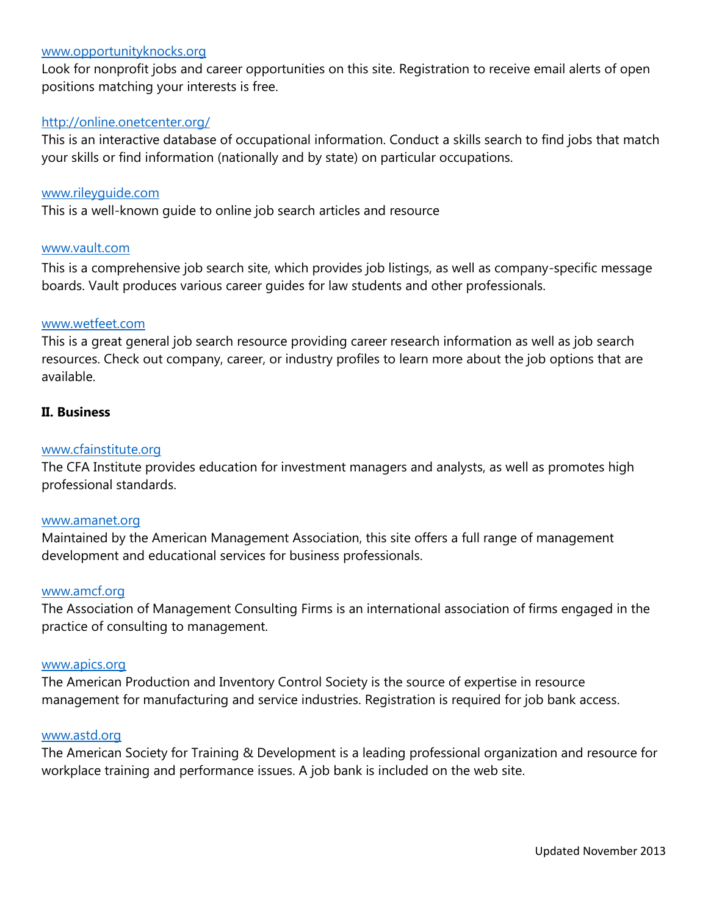### [www.opportunityknocks.org](http://www.opportunityknocks.org/)

Look for nonprofit jobs and career opportunities on this site. Registration to receive email alerts of open positions matching your interests is free.

#### <http://online.onetcenter.org/>

This is an interactive database of occupational information. Conduct a skills search to find jobs that match your skills or find information (nationally and by state) on particular occupations.

#### [www.rileyguide.com](http://www.rileyguide.com/)

This is a well-known guide to online job search articles and resource

#### [www.vault.com](http://www.vault.com/)

This is a comprehensive job search site, which provides job listings, as well as company-specific message boards. Vault produces various career guides for law students and other professionals.

#### [www.wetfeet.com](http://www.wetfeet.com/)

This is a great general job search resource providing career research information as well as job search resources. Check out company, career, or industry profiles to learn more about the job options that are available.

#### **II. Business**

#### [www.cfainstitute.org](http://www.cfainstitute.org/)

The CFA Institute provides education for investment managers and analysts, as well as promotes high professional standards.

#### [www.amanet.org](http://www.amanet.org/)

Maintained by the American Management Association, this site offers a full range of management development and educational services for business professionals.

## [www.amcf.org](http://www.amcf.org/)

The Association of Management Consulting Firms is an international association of firms engaged in the practice of consulting to management.

## [www.apics.org](http://www.apics.org/)

The American Production and Inventory Control Society is the source of expertise in resource management for manufacturing and service industries. Registration is required for job bank access.

#### [www.astd.org](http://www.astd.org/)

The American Society for Training & Development is a leading professional organization and resource for workplace training and performance issues. A job bank is included on the web site.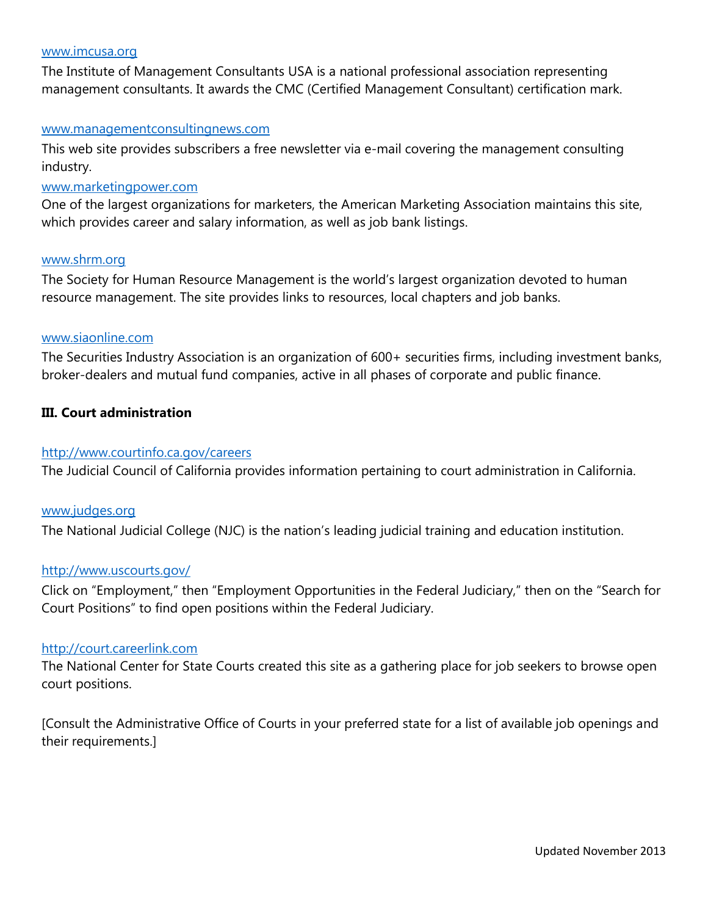#### [www.imcusa.org](http://www.imcusa.org/)

The Institute of Management Consultants USA is a national professional association representing management consultants. It awards the CMC (Certified Management Consultant) certification mark.

#### [www.managementconsultingnews.com](http://www.managementconsultingnews.com/)

This web site provides subscribers a free newsletter via e-mail covering the management consulting industry.

#### [www.marketingpower.com](http://www.marketingpower.com/)

One of the largest organizations for marketers, the American Marketing Association maintains this site, which provides career and salary information, as well as job bank listings.

## [www.shrm.org](http://www.shrm.org/)

The Society for Human Resource Management is the world's largest organization devoted to human resource management. The site provides links to resources, local chapters and job banks.

#### [www.siaonline.com](http://www.siaonline.com/)

The Securities Industry Association is an organization of 600+ securities firms, including investment banks, broker-dealers and mutual fund companies, active in all phases of corporate and public finance.

#### **III. Court administration**

#### <http://www.courtinfo.ca.gov/careers>

The Judicial Council of California provides information pertaining to court administration in California.

#### [www.judges.org](http://www.judges.org/)

The National Judicial College (NJC) is the nation's leading judicial training and education institution.

#### <http://www.uscourts.gov/>

Click on "Employment," then "Employment Opportunities in the Federal Judiciary," then on the "Search for Court Positions" to find open positions within the Federal Judiciary.

## [http://court.careerlink.com](http://court.careerlink.com/)

The National Center for State Courts created this site as a gathering place for job seekers to browse open court positions.

[Consult the Administrative Office of Courts in your preferred state for a list of available job openings and their requirements.]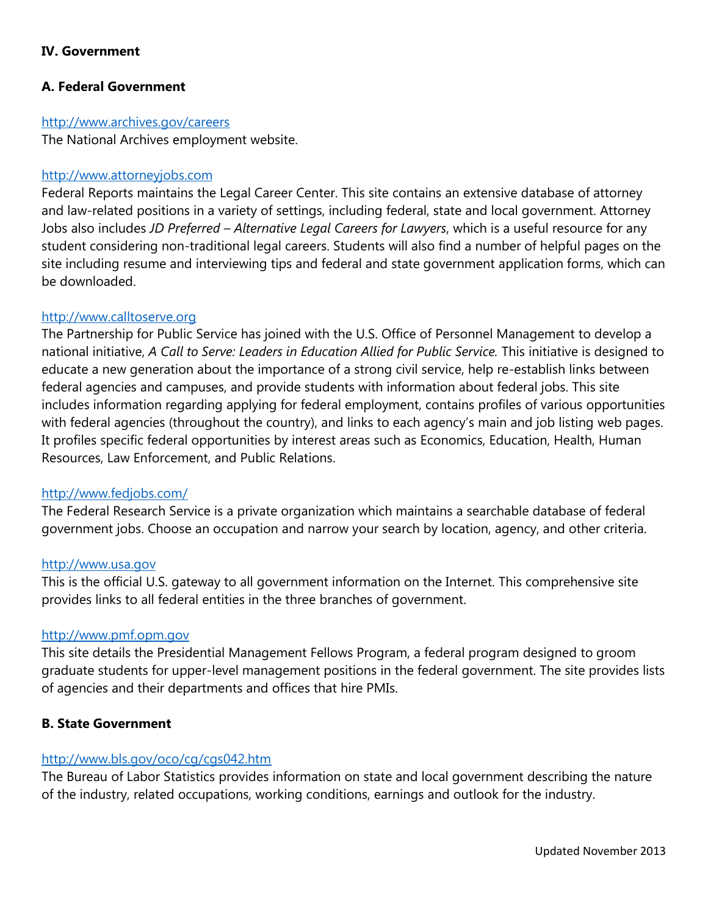## **IV. Government**

## **A. Federal Government**

#### <http://www.archives.gov/careers>

The National Archives employment website.

## [http://www.attorneyjobs.com](http://www.attorneyjobs.com/)

Federal Reports maintains the Legal Career Center. This site contains an extensive database of attorney and law-related positions in a variety of settings, including federal, state and local government. Attorney Jobs also includes *JD Preferred – Alternative Legal Careers for Lawyers*, which is a useful resource for any student considering non-traditional legal careers. Students will also find a number of helpful pages on the site including resume and interviewing tips and federal and state government application forms, which can be downloaded.

## [http://www.calltoserve.org](http://www.calltoserve.org/)

The Partnership for Public Service has joined with the U.S. Office of Personnel Management to develop a national initiative, *A Call to Serve: Leaders in Education Allied for Public Service.* This initiative is designed to educate a new generation about the importance of a strong civil service, help re-establish links between federal agencies and campuses, and provide students with information about federal jobs. This site includes information regarding applying for federal employment, contains profiles of various opportunities with federal agencies (throughout the country), and links to each agency's main and job listing web pages. It profiles specific federal opportunities by interest areas such as Economics, Education, Health, Human Resources, Law Enforcement, and Public Relations.

## <http://www.fedjobs.com/>

The Federal Research Service is a private organization which maintains a searchable database of federal government jobs. Choose an occupation and narrow your search by location, agency, and other criteria.

#### [http://www.usa.gov](http://www.usa.gov/)

This is the official U.S. gateway to all government information on the Internet. This comprehensive site provides links to all federal entities in the three branches of government.

## [http://www.pmf.opm.gov](http://www.pmf.opm.gov/)

This site details the Presidential Management Fellows Program, a federal program designed to groom graduate students for upper-level management positions in the federal government. The site provides lists of agencies and their departments and offices that hire PMIs.

## **B. State Government**

## <http://www.bls.gov/oco/cg/cgs042.htm>

The Bureau of Labor Statistics provides information on state and local government describing the nature of the industry, related occupations, working conditions, earnings and outlook for the industry.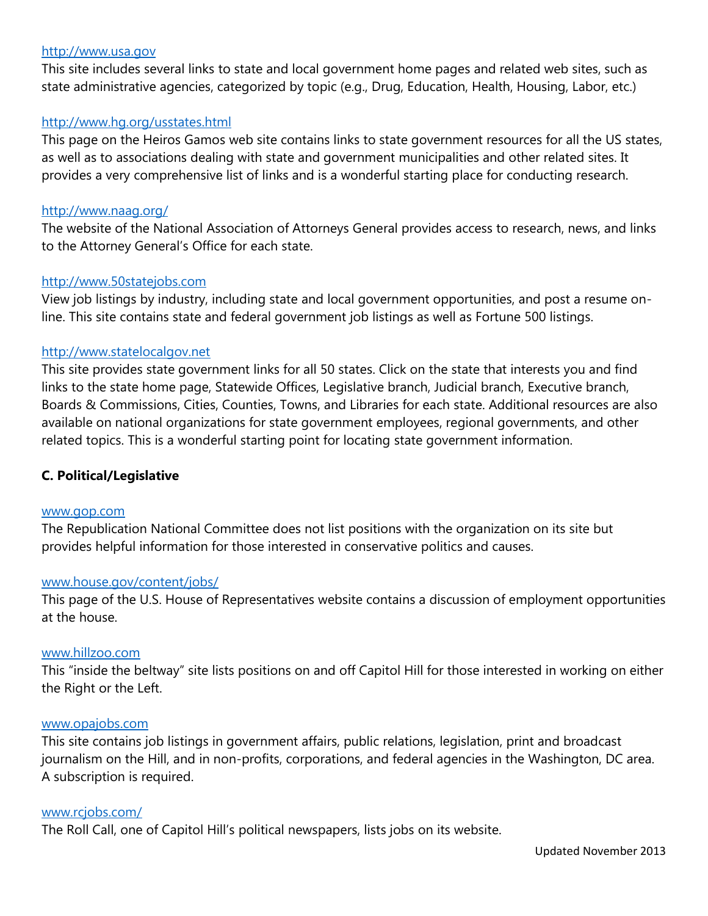## [http://www.usa.gov](http://www.usa.gov/)

This site includes several links to state and local government home pages and related web sites, such as state administrative agencies, categorized by topic (e.g., Drug, Education, Health, Housing, Labor, etc.)

## <http://www.hg.org/usstates.html>

This page on the Heiros Gamos web site contains links to state government resources for all the US states, as well as to associations dealing with state and government municipalities and other related sites. It provides a very comprehensive list of links and is a wonderful starting place for conducting research.

#### <http://www.naag.org/>

The website of the National Association of Attorneys General provides access to research, news, and links to the Attorney General's Office for each state.

## [http://www.50statejobs.com](http://www.50statejobs.com/)

View job listings by industry, including state and local government opportunities, and post a resume online. This site contains state and federal government job listings as well as Fortune 500 listings.

## [http://www.statelocalgov.net](http://www.statelocalgov.net/)

This site provides state government links for all 50 states. Click on the state that interests you and find links to the state home page, Statewide Offices, Legislative branch, Judicial branch, Executive branch, Boards & Commissions, Cities, Counties, Towns, and Libraries for each state. Additional resources are also available on national organizations for state government employees, regional governments, and other related topics. This is a wonderful starting point for locating state government information.

## **C. Political/Legislative**

#### [www.gop.com](http://www.gop.com/)

The Republication National Committee does not list positions with the organization on its site but provides helpful information for those interested in conservative politics and causes.

#### [www.house.gov/content/jobs/](http://www.house.gov/content/jobs/)

This page of the U.S. House of Representatives website contains a discussion of employment opportunities at the house.

#### [www.hillzoo.com](http://www.hillzoo.com/)

This "inside the beltway" site lists positions on and off Capitol Hill for those interested in working on either the Right or the Left.

#### [www.opajobs.com](http://www.opajobs.com/)

This site contains job listings in government affairs, public relations, legislation, print and broadcast journalism on the Hill, and in non-profits, corporations, and federal agencies in the Washington, DC area. A subscription is required.

#### [www.rcjobs.com/](http://www.rcjobs.com/)

The Roll Call, one of Capitol Hill's political newspapers, lists jobs on its website.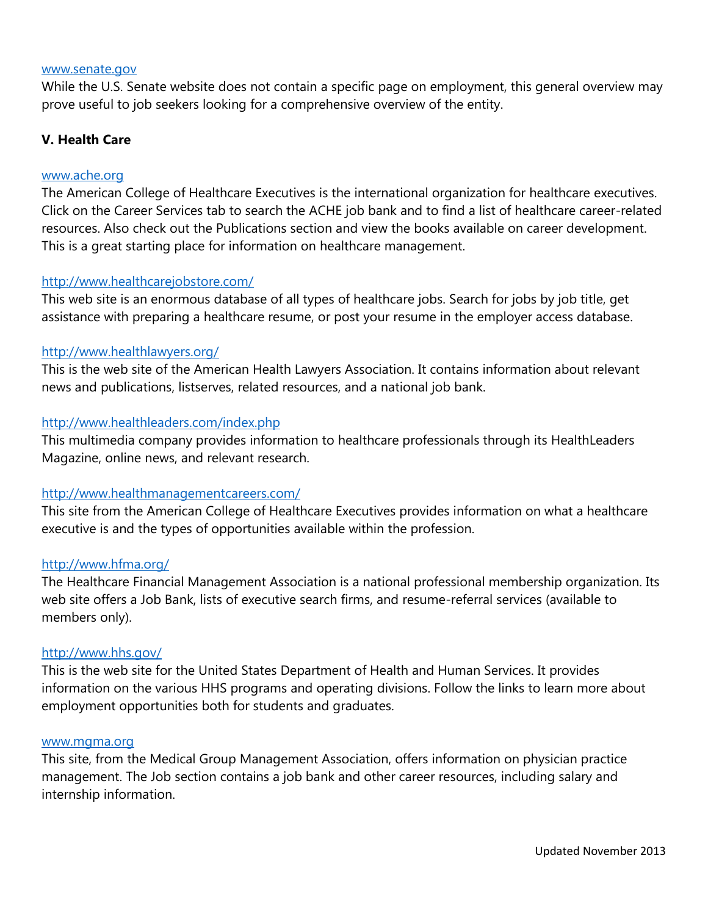#### [www.senate.gov](http://www.senate.gov/)

While the U.S. Senate website does not contain a specific page on employment, this general overview may prove useful to job seekers looking for a comprehensive overview of the entity.

## **V. Health Care**

## [www.ache.org](http://www.ache.org/)

The American College of Healthcare Executives is the international organization for healthcare executives. Click on the Career Services tab to search the ACHE job bank and to find a list of healthcare career-related resources. Also check out the Publications section and view the books available on career development. This is a great starting place for information on healthcare management.

## <http://www.healthcarejobstore.com/>

This web site is an enormous database of all types of healthcare jobs. Search for jobs by job title, get assistance with preparing a healthcare resume, or post your resume in the employer access database.

## <http://www.healthlawyers.org/>

This is the web site of the American Health Lawyers Association. It contains information about relevant news and publications, listserves, related resources, and a national job bank.

## <http://www.healthleaders.com/index.php>

This multimedia company provides information to healthcare professionals through its HealthLeaders Magazine, online news, and relevant research.

## <http://www.healthmanagementcareers.com/>

This site from the American College of Healthcare Executives provides information on what a healthcare executive is and the types of opportunities available within the profession.

#### <http://www.hfma.org/>

The Healthcare Financial Management Association is a national professional membership organization. Its web site offers a Job Bank, lists of executive search firms, and resume-referral services (available to members only).

#### <http://www.hhs.gov/>

This is the web site for the United States Department of Health and Human Services. It provides information on the various HHS programs and operating divisions. Follow the links to learn more about employment opportunities both for students and graduates.

#### [www.mgma.org](http://www.mgma.org/)

This site, from the Medical Group Management Association, offers information on physician practice management. The Job section contains a job bank and other career resources, including salary and internship information.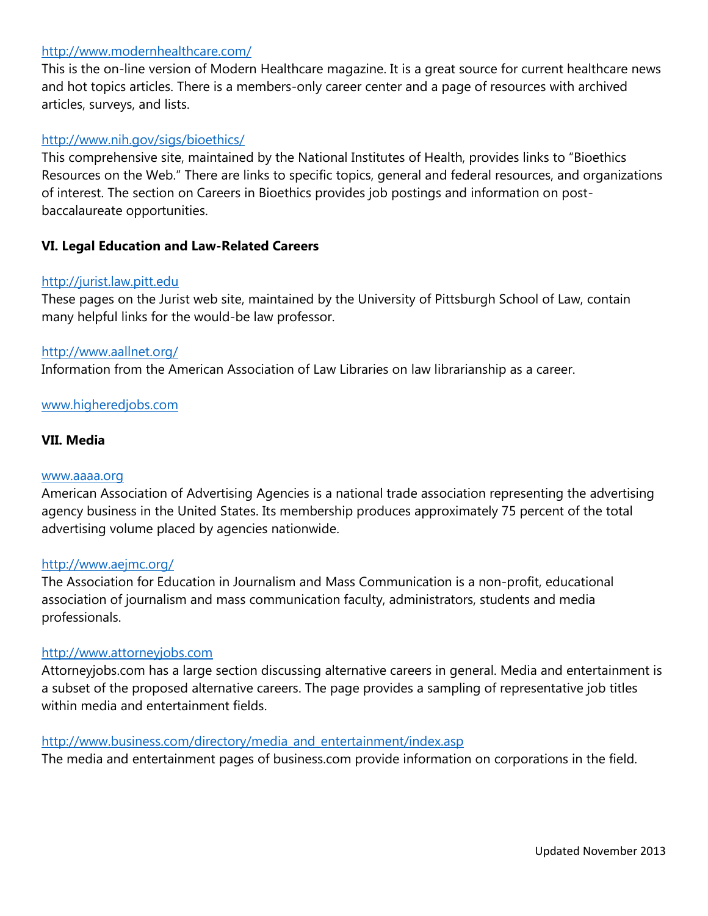## <http://www.modernhealthcare.com/>

This is the on-line version of Modern Healthcare magazine. It is a great source for current healthcare news and hot topics articles. There is a members-only career center and a page of resources with archived articles, surveys, and lists.

## <http://www.nih.gov/sigs/bioethics/>

This comprehensive site, maintained by the National Institutes of Health, provides links to "Bioethics Resources on the Web." There are links to specific topics, general and federal resources, and organizations of interest. The section on Careers in Bioethics provides job postings and information on postbaccalaureate opportunities.

## **VI. Legal Education and Law-Related Careers**

## [http://jurist.law.pitt.edu](http://jurist.law.pitt.edu/)

These pages on the Jurist web site, maintained by the University of Pittsburgh School of Law, contain many helpful links for the would-be law professor.

## <http://www.aallnet.org/>

Information from the American Association of Law Libraries on law librarianship as a career.

## [www.higheredjobs.com](http://www.higheredjobs.com/)

## **VII. Media**

#### [www.aaaa.org](http://www.aaaa.org/)

American Association of Advertising Agencies is a national trade association representing the advertising agency business in the United States. Its membership produces approximately 75 percent of the total advertising volume placed by agencies nationwide.

#### <http://www.aejmc.org/>

The Association for Education in Journalism and Mass Communication is a non-profit, educational association of journalism and mass communication faculty, administrators, students and media professionals.

## [http://www.attorneyjobs.com](http://www.attorneyjobs.com/)

Attorneyjobs.com has a large section discussing alternative careers in general. Media and entertainment is a subset of the proposed alternative careers. The page provides a sampling of representative job titles within media and entertainment fields.

## [http://www.business.com/directory/media\\_and\\_entertainment/index.asp](http://www.business.com/directory/media_and_entertainment/index.asp)

The media and entertainment pages of business.com provide information on corporations in the field.